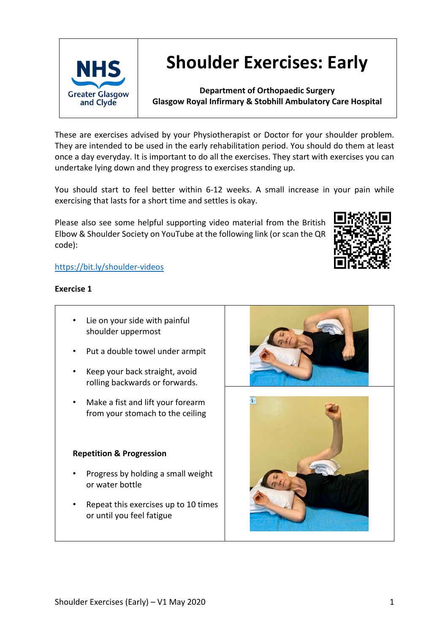

# **Shoulder Exercises: Early**

**Department of Orthopaedic Surgery Glasgow Royal Infirmary & Stobhill Ambulatory Care Hospital**

These are exercises advised by your Physiotherapist or Doctor for your shoulder problem. They are intended to be used in the early rehabilitation period. You should do them at least once a day everyday. It is important to do all the exercises. They start with exercises you can undertake lying down and they progress to exercises standing up.

You should start to feel better within 6-12 weeks. A small increase in your pain while exercising that lasts for a short time and settles is okay.

Please also see some helpful supporting video material from the British Elbow & Shoulder Society on YouTube at the following link (or scan the QR code):



# https://bit.ly/shoulder-videos

# **Exercise 1**

- Lie on your side with painful shoulder uppermost
- Put a double towel under armpit
- Keep your back straight, avoid rolling backwards or forwards.
- Make a fist and lift your forearm from your stomach to the ceiling

# **Repetition & Progression**

- Progress by holding a small weight or water bottle
- Repeat this exercises up to 10 times or until you feel fatigue



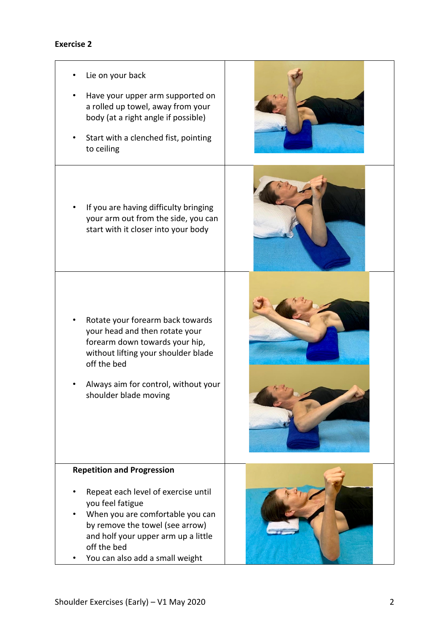# **Exercise 2**

- Lie on your back • Have your upper arm supported on a rolled up towel, away from your body (at a right angle if possible) Start with a clenched fist, pointing to ceiling If you are having difficulty bringing your arm out from the side, you can start with it closer into your body Rotate your forearm back towards your head and then rotate your forearm down towards your hip, without lifting your shoulder blade off the bed • Always aim for control, without your shoulder blade moving **Repetition and Progression** Repeat each level of exercise until you feel fatigue • When you are comfortable you can by remove the towel (see arrow) and holf your upper arm up a little off the bed
	- You can also add a small weight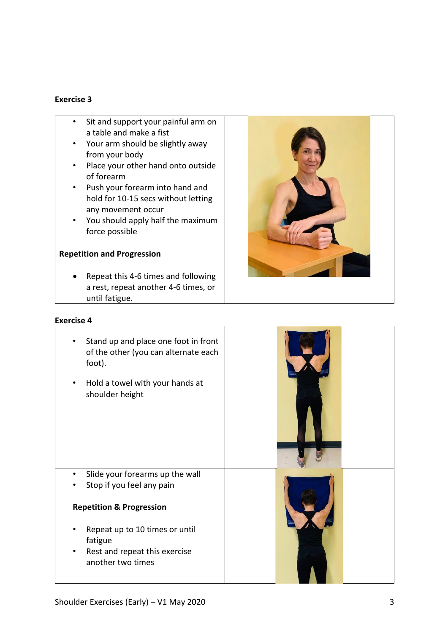#### **Exercise 3**

- Sit and support your painful arm on a table and make a fist
- Your arm should be slightly away from your body
- Place your other hand onto outside of forearm
- Push your forearm into hand and hold for 10-15 secs without letting any movement occur
- You should apply half the maximum force possible

#### **Repetition and Progression**

• Repeat this 4-6 times and following a rest, repeat another 4-6 times, or until fatigue.

#### **Exercise 4**



Stand up and place one foot in front of the other (you can alternate each foot). • Hold a towel with your hands at shoulder height ļ • Slide your forearms up the wall Stop if you feel any pain **Repetition & Progression** • Repeat up to 10 times or until fatigue Rest and repeat this exercise another two times